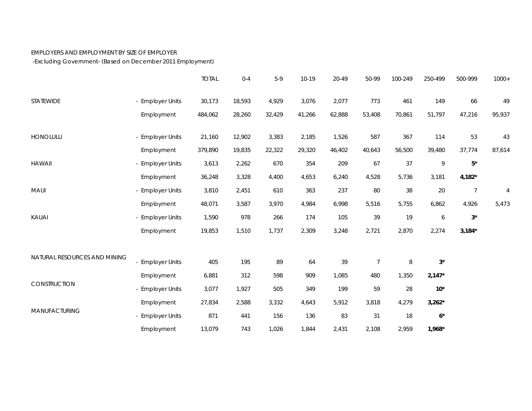## EMPLOYERS AND EMPLOYMENT BY SIZE OF EMPLOYER

-Excluding Government- (Based on December 2011 Employment)

|                              |                  | <b>TOTAL</b> | $0 - 4$ | $5-9$  | 10-19  | 20-49  | 50-99          | 100-249 | 250-499     | 500-999        | $1000+$        |
|------------------------------|------------------|--------------|---------|--------|--------|--------|----------------|---------|-------------|----------------|----------------|
| <b>STATEWIDE</b>             | - Employer Units | 30,173       | 18,593  | 4,929  | 3,076  | 2,077  | 773            | 461     | 149         | 66             | 49             |
|                              | Employment       | 484,062      | 28,260  | 32,429 | 41,266 | 62,888 | 53,408         | 70,861  | 51,797      | 47,216         | 95,937         |
| HONOLULU                     | - Employer Units | 21,160       | 12,902  | 3,383  | 2,185  | 1,526  | 587            | 367     | 114         | 53             | 43             |
|                              | Employment       | 379,890      | 19,835  | 22,322 | 29,320 | 46,402 | 40,643         | 56,500  | 39,480      | 37,774         | 87,614         |
| <b>HAWAII</b>                | - Employer Units | 3,613        | 2,262   | 670    | 354    | 209    | 67             | 37      | 9           | $5^{\star}$    |                |
|                              | Employment       | 36,248       | 3,328   | 4,400  | 4,653  | 6,240  | 4,528          | 5,736   | 3,181       | $4,182*$       |                |
| MAUI                         | - Employer Units | 3,810        | 2,451   | 610    | 363    | 237    | 80             | 38      | 20          | $\overline{7}$ | $\overline{4}$ |
|                              | Employment       | 48,071       | 3,587   | 3,970  | 4,984  | 6,998  | 5,516          | 5,755   | 6,862       | 4,926          | 5,473          |
| KAUAI                        | - Employer Units | 1,590        | 978     | 266    | 174    | 105    | 39             | 19      | 6           | $3^\star$      |                |
|                              | Employment       | 19,853       | 1,510   | 1,737  | 2,309  | 3,248  | 2,721          | 2,870   | 2,274       | $3,184*$       |                |
| NATURAL RESOURCES AND MINING |                  |              |         |        |        |        |                |         |             |                |                |
|                              | - Employer Units | 405          | 195     | 89     | 64     | 39     | $\overline{7}$ | 8       | $3^*$       |                |                |
| CONSTRUCTION                 | Employment       | 6,881        | 312     | 598    | 909    | 1,085  | 480            | 1,350   | $2,147*$    |                |                |
|                              | - Employer Units | 3,077        | 1,927   | 505    | 349    | 199    | 59             | 28      | $10^*$      |                |                |
| MANUFACTURING                | Employment       | 27,834       | 2,588   | 3,332  | 4,643  | 5,912  | 3,818          | 4,279   | $3,262*$    |                |                |
|                              | - Employer Units | 871          | 441     | 156    | 136    | 83     | 31             | 18      | $6^{\star}$ |                |                |
|                              | Employment       | 13,079       | 743     | 1,026  | 1,844  | 2,431  | 2,108          | 2,959   | $1,968*$    |                |                |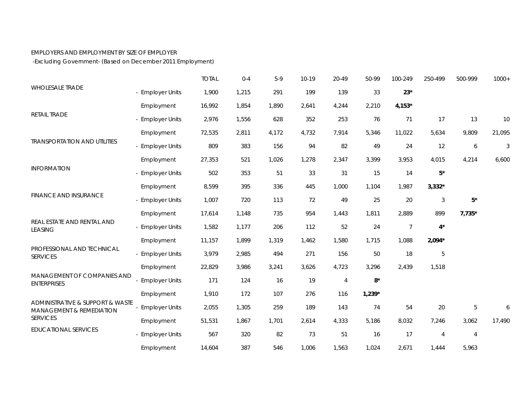## EMPLOYERS AND EMPLOYMENT BY SIZE OF EMPLOYER

-Excluding Government- (Based on December 2011 Employment)

|                                                                                                    |                       | <b>TOTAL</b> | $0 - 4$ | $5-9$ | 10-19 | 20-49          | 50-99    | 100-249        | 250-499        | 500-999        | $1000+$ |
|----------------------------------------------------------------------------------------------------|-----------------------|--------------|---------|-------|-------|----------------|----------|----------------|----------------|----------------|---------|
| <b>WHOLESALE TRADE</b>                                                                             | <b>Employer Units</b> | 1,900        | 1,215   | 291   | 199   | 139            | 33       | $23*$          |                |                |         |
|                                                                                                    | Employment            | 16,992       | 1,854   | 1,890 | 2,641 | 4,244          | 2,210    | $4,153*$       |                |                |         |
| RETAIL TRADE<br><b>TRANSPORTATION AND UTILITIES</b><br><b>INFORMATION</b><br>FINANCE AND INSURANCE | - Employer Units      | 2,976        | 1,556   | 628   | 352   | 253            | 76       | 71             | 17             | 13             | 10      |
|                                                                                                    | Employment            | 72,535       | 2,811   | 4,172 | 4,732 | 7,914          | 5,346    | 11,022         | 5,634          | 9,809          | 21,095  |
|                                                                                                    | - Employer Units      | 809          | 383     | 156   | 94    | 82             | 49       | 24             | 12             | 6              | 3       |
|                                                                                                    | Employment            | 27,353       | 521     | 1,026 | 1,278 | 2,347          | 3,399    | 3,953          | 4,015          | 4,214          | 6,600   |
|                                                                                                    | - Employer Units      | 502          | 353     | 51    | 33    | 31             | 15       | 14             | $5^\star$      |                |         |
|                                                                                                    | Employment            | 8,599        | 395     | 336   | 445   | 1,000          | 1,104    | 1,987          | $3,332*$       |                |         |
|                                                                                                    | <b>Employer Units</b> | 1,007        | 720     | 113   | 72    | 49             | 25       | 20             | $\sqrt{3}$     | $5^\star$      |         |
|                                                                                                    | Employment            | 17,614       | 1,148   | 735   | 954   | 1,443          | 1,811    | 2,889          | 899            | $7,735*$       |         |
| REAL ESTATE AND RENTAL AND<br><b>LEASING</b>                                                       | - Employer Units      | 1,582        | 1,177   | 206   | 112   | 52             | 24       | $\overline{7}$ | $4^*$          |                |         |
|                                                                                                    | Employment            | 11,157       | 1,899   | 1,319 | 1,462 | 1,580          | 1,715    | 1,088          | $2,094*$       |                |         |
| PROFESSIONAL AND TECHNICAL<br><b>SERVICES</b>                                                      | <b>Employer Units</b> | 3,979        | 2,985   | 494   | 271   | 156            | 50       | 18             | $\mathbf 5$    |                |         |
|                                                                                                    | Employment            | 22,829       | 3,986   | 3,241 | 3,626 | 4,723          | 3,296    | 2,439          | 1,518          |                |         |
| MANAGEMENT OF COMPANIES AND<br><b>ENTERPRISES</b>                                                  | <b>Employer Units</b> | 171          | 124     | 16    | 19    | $\overline{4}$ | $8*$     |                |                |                |         |
|                                                                                                    | Employment            | 1,910        | 172     | 107   | 276   | 116            | $1,239*$ |                |                |                |         |
| ADMINISTRATIVE & SUPPORT & WASTE<br><b>MANAGEMENT &amp; REMEDIATION</b><br><b>SERVICES</b>         | <b>Employer Units</b> | 2,055        | 1,305   | 259   | 189   | 143            | 74       | 54             | 20             | $\sqrt{5}$     | 6       |
|                                                                                                    | Employment            | 51,531       | 1,867   | 1,701 | 2,614 | 4,333          | 5,186    | 8,032          | 7,246          | 3,062          | 17,490  |
| <b>EDUCATIONAL SERVICES</b>                                                                        | - Employer Units      | 567          | 320     | 82    | 73    | 51             | 16       | 17             | $\overline{4}$ | $\overline{4}$ |         |
|                                                                                                    | Employment            | 14,604       | 387     | 546   | 1,006 | 1,563          | 1,024    | 2,671          | 1,444          | 5,963          |         |